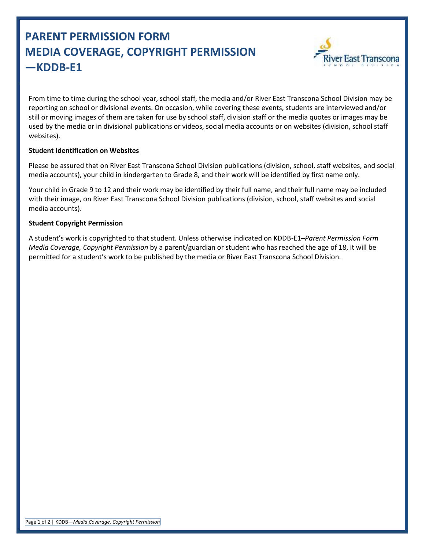## **PARENT PERMISSION FORM MEDIA COVERAGE, COPYRIGHT PERMISSION —KDDB-E1**



From time to time during the school year, school staff, the media and/or River East Transcona School Division may be reporting on school or divisional events. On occasion, while covering these events, students are interviewed and/or still or moving images of them are taken for use by school staff, division staff or the media quotes or images may be used by the media or in divisional publications or videos, social media accounts or on websites (division, school staff websites).

## **Student Identification on Websites**

Please be assured that on River East Transcona School Division publications (division, school, staff websites, and social media accounts), your child in kindergarten to Grade 8, and their work will be identified by first name only.

Your child in Grade 9 to 12 and their work may be identified by their full name, and their full name may be included with their image, on River East Transcona School Division publications (division, school, staff websites and social media accounts).

## **Student Copyright Permission**

A student's work is copyrighted to that student. Unless otherwise indicated on KDDB-E1–*Parent Permission Form Media Coverage, Copyright Permission* by a parent/guardian or student who has reached the age of 18, it will be permitted for a student's work to be published by the media or River East Transcona School Division.